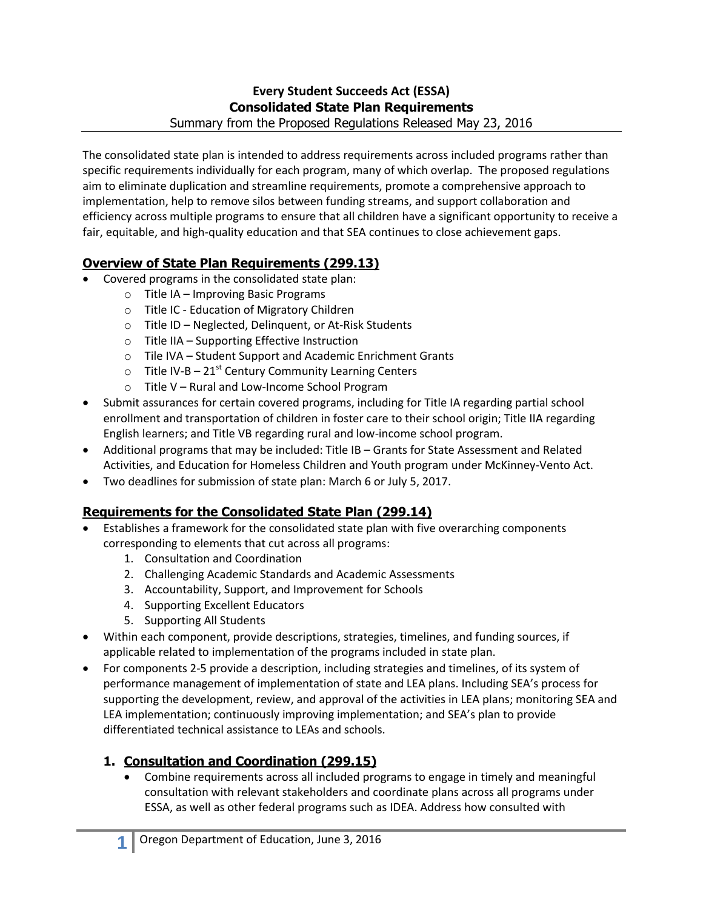#### **Every Student Succeeds Act (ESSA) Consolidated State Plan Requirements** Summary from the Proposed Regulations Released May 23, 2016

The consolidated state plan is intended to address requirements across included programs rather than specific requirements individually for each program, many of which overlap. The proposed regulations aim to eliminate duplication and streamline requirements, promote a comprehensive approach to implementation, help to remove silos between funding streams, and support collaboration and efficiency across multiple programs to ensure that all children have a significant opportunity to receive a fair, equitable, and high-quality education and that SEA continues to close achievement gaps.

# **Overview of State Plan Requirements (299.13)**

- Covered programs in the consolidated state plan:
	- o Title IA Improving Basic Programs
		- o Title IC Education of Migratory Children
		- o Title ID Neglected, Delinquent, or At-Risk Students
		- o Title IIA Supporting Effective Instruction
	- o Tile IVA Student Support and Academic Enrichment Grants
	- $\circ$  Title IV-B 21<sup>st</sup> Century Community Learning Centers
	- o Title V Rural and Low-Income School Program
- Submit assurances for certain covered programs, including for Title IA regarding partial school enrollment and transportation of children in foster care to their school origin; Title IIA regarding English learners; and Title VB regarding rural and low-income school program.
- Additional programs that may be included: Title IB Grants for State Assessment and Related Activities, and Education for Homeless Children and Youth program under McKinney-Vento Act.
- Two deadlines for submission of state plan: March 6 or July 5, 2017.

# **Requirements for the Consolidated State Plan (299.14)**

- Establishes a framework for the consolidated state plan with five overarching components corresponding to elements that cut across all programs:
	- 1. Consultation and Coordination
	- 2. Challenging Academic Standards and Academic Assessments
	- 3. Accountability, Support, and Improvement for Schools
	- 4. Supporting Excellent Educators
	- 5. Supporting All Students
- Within each component, provide descriptions, strategies, timelines, and funding sources, if applicable related to implementation of the programs included in state plan.
- For components 2-5 provide a description, including strategies and timelines, of its system of performance management of implementation of state and LEA plans. Including SEA's process for supporting the development, review, and approval of the activities in LEA plans; monitoring SEA and LEA implementation; continuously improving implementation; and SEA's plan to provide differentiated technical assistance to LEAs and schools.

# **1. Consultation and Coordination (299.15)**

 Combine requirements across all included programs to engage in timely and meaningful consultation with relevant stakeholders and coordinate plans across all programs under ESSA, as well as other federal programs such as IDEA. Address how consulted with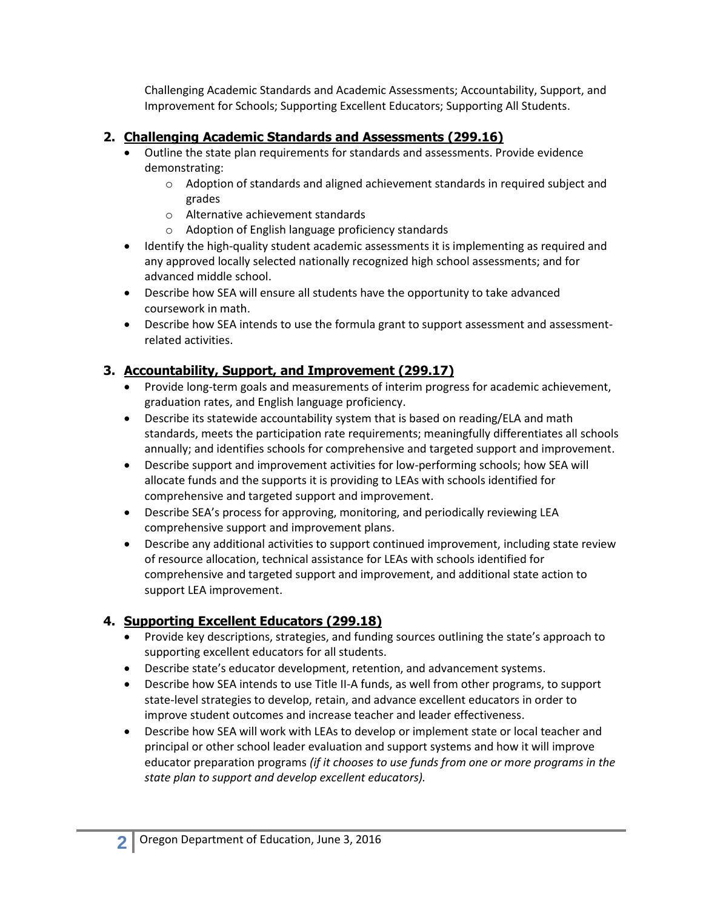Challenging Academic Standards and Academic Assessments; Accountability, Support, and Improvement for Schools; Supporting Excellent Educators; Supporting All Students.

## **2. Challenging Academic Standards and Assessments (299.16)**

- Outline the state plan requirements for standards and assessments. Provide evidence demonstrating:
	- o Adoption of standards and aligned achievement standards in required subject and grades
	- o Alternative achievement standards
	- o Adoption of English language proficiency standards
- Identify the high-quality student academic assessments it is implementing as required and any approved locally selected nationally recognized high school assessments; and for advanced middle school.
- Describe how SEA will ensure all students have the opportunity to take advanced coursework in math.
- Describe how SEA intends to use the formula grant to support assessment and assessmentrelated activities.

## **3. Accountability, Support, and Improvement (299.17)**

- Provide long-term goals and measurements of interim progress for academic achievement, graduation rates, and English language proficiency.
- Describe its statewide accountability system that is based on reading/ELA and math standards, meets the participation rate requirements; meaningfully differentiates all schools annually; and identifies schools for comprehensive and targeted support and improvement.
- Describe support and improvement activities for low-performing schools; how SEA will allocate funds and the supports it is providing to LEAs with schools identified for comprehensive and targeted support and improvement.
- Describe SEA's process for approving, monitoring, and periodically reviewing LEA comprehensive support and improvement plans.
- Describe any additional activities to support continued improvement, including state review of resource allocation, technical assistance for LEAs with schools identified for comprehensive and targeted support and improvement, and additional state action to support LEA improvement.

# **4. Supporting Excellent Educators (299.18)**

- Provide key descriptions, strategies, and funding sources outlining the state's approach to supporting excellent educators for all students.
- Describe state's educator development, retention, and advancement systems.
- Describe how SEA intends to use Title II-A funds, as well from other programs, to support state-level strategies to develop, retain, and advance excellent educators in order to improve student outcomes and increase teacher and leader effectiveness.
- Describe how SEA will work with LEAs to develop or implement state or local teacher and principal or other school leader evaluation and support systems and how it will improve educator preparation programs *(if it chooses to use funds from one or more programs in the state plan to support and develop excellent educators).*